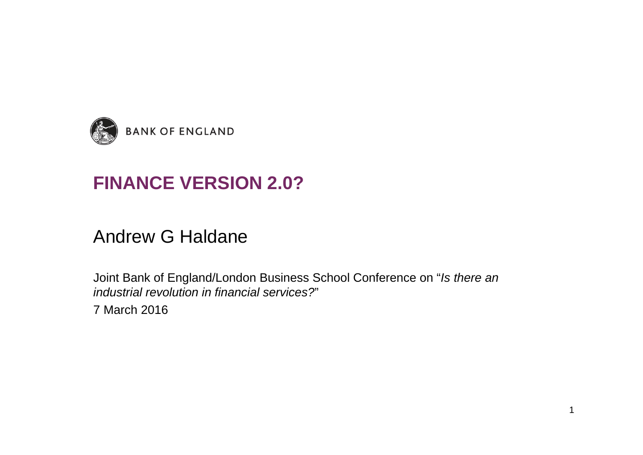

# **FINANCE VERSION 2.0?**

#### Andrew G Haldane

Joint Bank of England/London Business School Conference on "*Is there an industrial revolution in financial services?*"

7 March 2016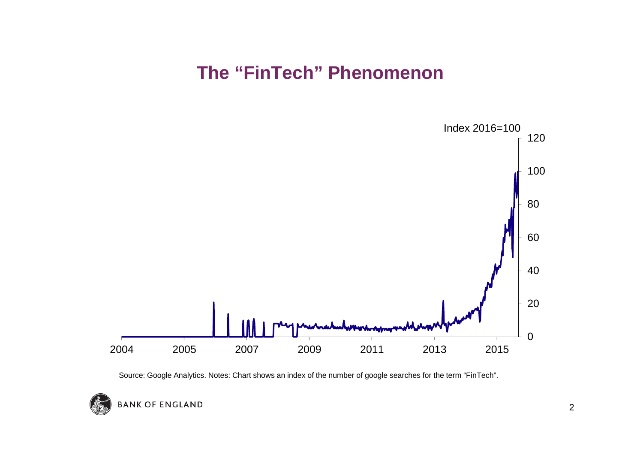#### **The "FinTech" Phenomenon**



Source: Google Analytics. Notes: Chart shows an index of the number of google searches for the term "FinTech".

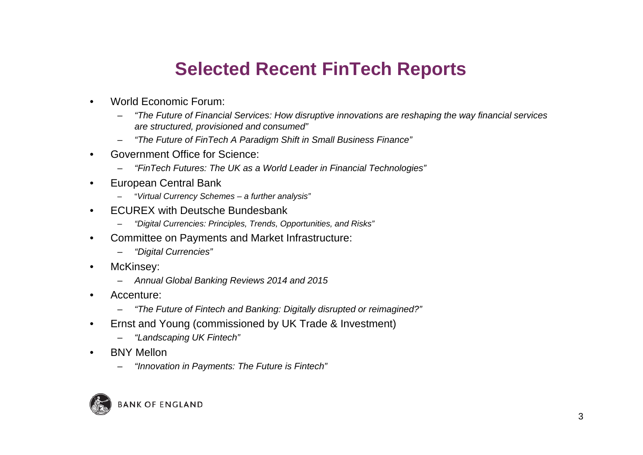## **Selected Recent FinTech Reports**

- • World Economic Forum:
	- *"The Future of Financial Services: How disruptive innovations are reshaping the way financial services are structured, provisioned and consumed"*
	- *"The Future of FinTech A Paradigm Shift in Small Business Finance"*
- • Government Office for Science:
	- *"FinTech Futures: The UK as a World Leader in Financial Technologies"*
- • European Central Bank
	- "*Virtual Currency Schemes – a further analysis"*
- • ECUREX with Deutsche Bundesbank
	- *"Digital Currencies: Principles, Trends, Opportunities, and Risks"*
- • Committee on Payments and Market Infrastructure:
	- –*"Digital Currencies"*
- •McKinsey:
	- *Annual Global Banking Reviews 2014 and 2015*
- • Accenture:
	- *"The Future of Fintech and Banking: Digitally disrupted or reimagined?"*
- • Ernst and Young (commissioned by UK Trade & Investment)
	- *"Landscaping UK Fintech"*
- • BNY Mellon
	- *"Innovation in Payments: The Future is Fintech"*

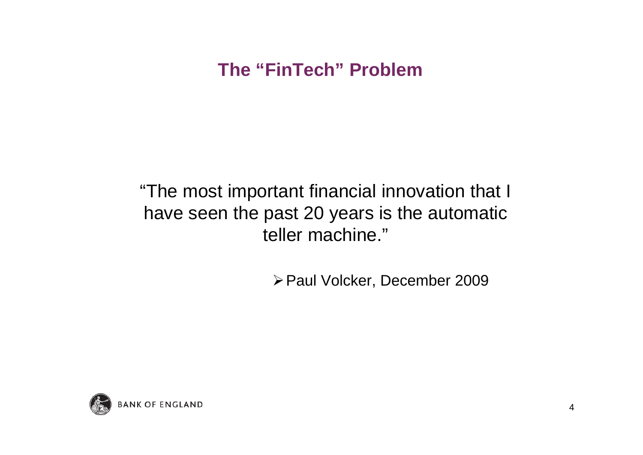# **The "FinTech" Problem**

"The most important financial innovation that I have seen the past 20 years is the automatic teller machine."

▶ Paul Volcker, December 2009

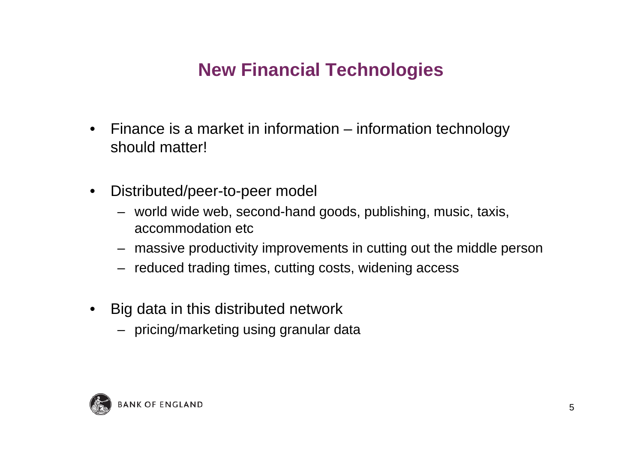# **New Financial Technologies**

- • Finance is a market in information – information technology should matter!
- $\bullet$  Distributed/peer-to-peer model
	- world wide web, second-hand goods, publishing, music, taxis, accommodation etc
	- massive productivity improvements in cutting out the middle person
	- reduced trading times, cutting costs, widening access
- • Big data in this distributed network
	- pricing/marketing using granular data

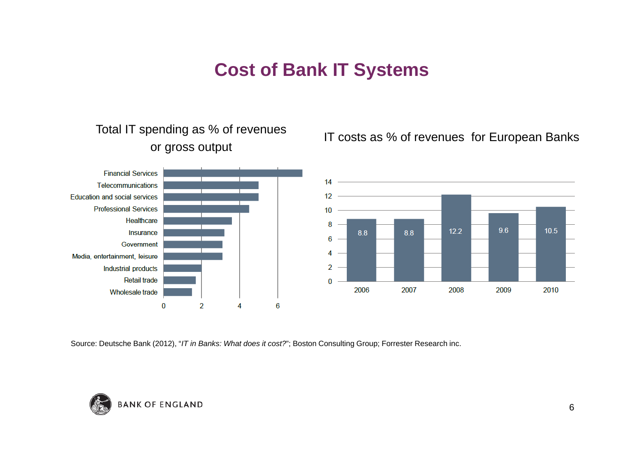#### **Cost of Bank IT Systems**



Source: Deutsche Bank (2012), "*IT in Banks: What does it cost?*"; Boston Consulting Group; Forrester Research inc.

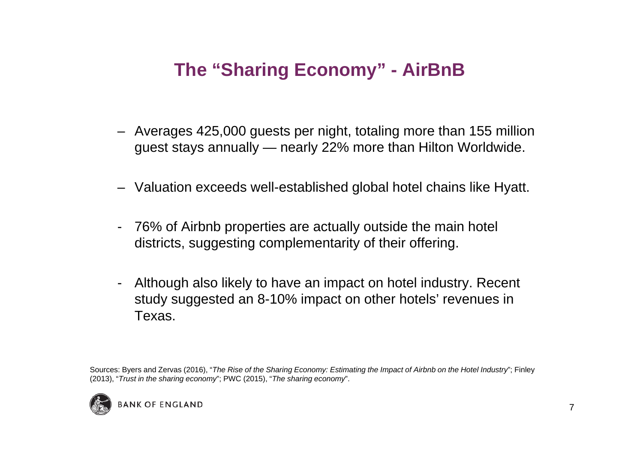# **The "Sharing Economy" - AirBnB**

- Averages 425,000 guests per night, totaling more than 155 million guest stays annually — nearly 22% more than Hilton Worldwide.
- Valuation exceeds well-established global hotel chains like Hyatt.
- 76% of Airbnb properties are actually outside the main hotel districts, suggesting complementarity of their offering.
- - Although also likely to have an impact on hotel industry. Recent study suggested an 8-10% impact on other hotels' revenues in Texas.

Sources: Byers and Zervas (2016), "*The Rise of the Sharing Economy: Estimating the Impact of Airbnb on the Hotel Industry*"; Finley (2013), "*Trust in the sharing economy*"; PWC (2015), "*The sharing economy*".

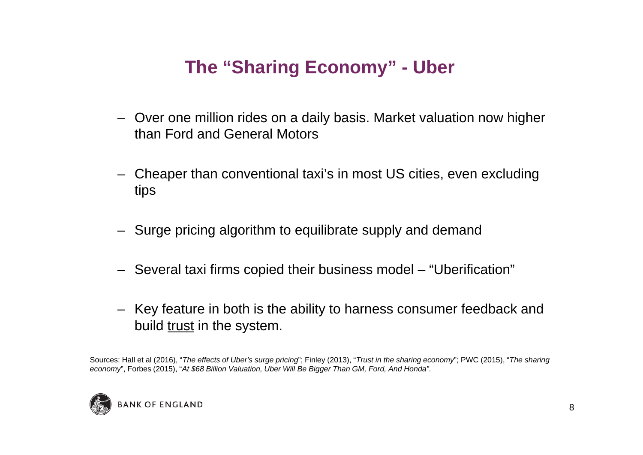# **The "Sharing Economy" - Uber**

- Over one million rides on a daily basis. Market valuation now higher than Ford and General Motors
- Cheaper than conventional taxi's in most US cities, even excluding tips
- Surge pricing algorithm to equilibrate supply and demand
- Several taxi firms copied their business model "Uberification"
- Key feature in both is the ability to harness consumer feedback and build trust in the system.

Sources: Hall et al (2016), "*The effects of Uber's surge pricing*"; Finley (2013), "*Trust in the sharing economy*"; PWC (2015), "*The sharing economy*", Forbes (2015), "*At \$68 Billion Valuation, Uber Will Be Bigger Than GM, Ford, And Honda"*.

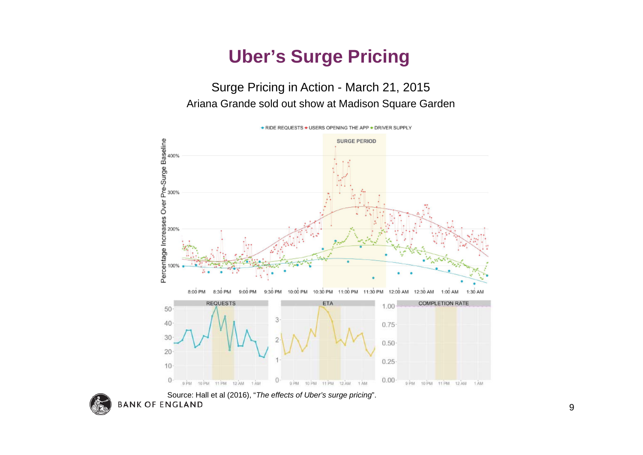## **Uber's Surge Pricing**

#### Surge Pricing in Action - March 21, 2015 Ariana Grande sold out show at Madison Square Garden



• RIDE REQUESTS • USERS OPENING THE APP • DRIVER SUPPLY



Source: Hall et al (2016), "*The effects of Uber's surge pricing*".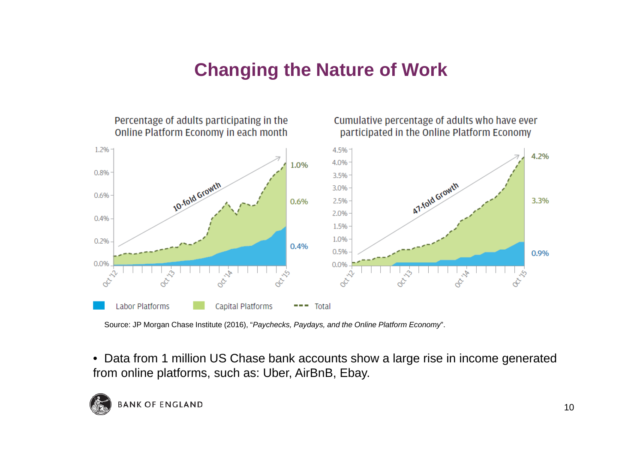## **Changing the Nature of Work**



Source: JP Morgan Chase Institute (2016), "*Paychecks, Paydays, and the Online Platform Economy*".

• Data from 1 million US Chase bank accounts show a large rise in income generated from online platforms, such as: Uber, AirBnB, Ebay.

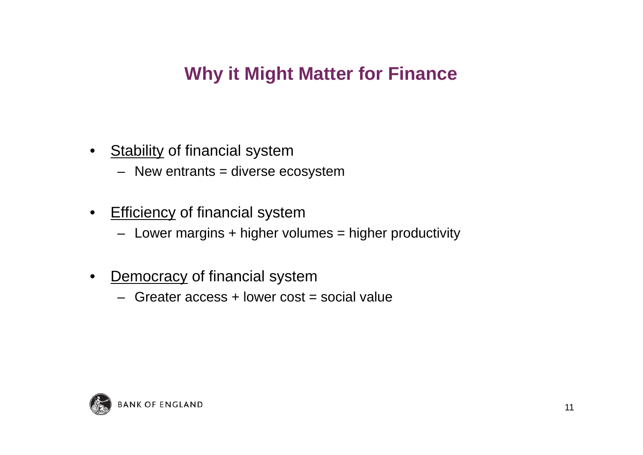#### **Why it Might Matter for Finance**

- •**Stability of financial system** 
	- New entrants = diverse ecosystem
- $\bullet$ **Efficiency of financial system** 
	- Lower margins + higher volumes = higher productivity
- • Democracy of financial system
	- Greater access + lower cost = social value

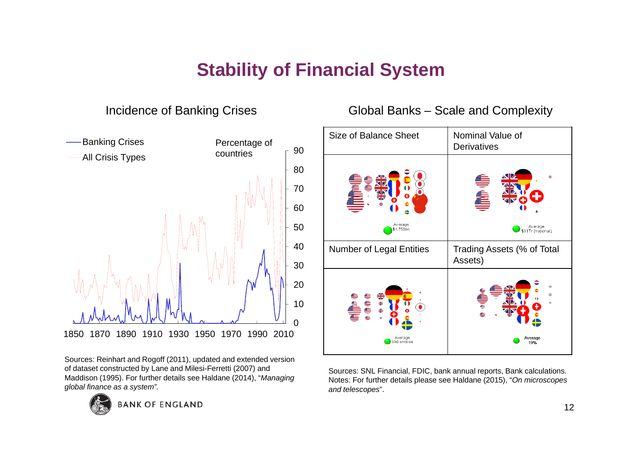# **Stability of Financial System**



Incidence of Banking Crises

Sources: Reinhart and Rogoff (2011), updated and extended version of dataset constructed by Lane and Milesi-Ferretti (2007) and Maddison (1995). For further details see Haldane (2014), "*Managing global finance as a system".*



**BANK OF ENGLAND** 

#### Global Banks – Scale and Complexity



Sources: SNL Financial, FDIC, bank annual reports, Bank calculations. Notes: For further details please see Haldane (2015), "*On microscopes and telescopes*".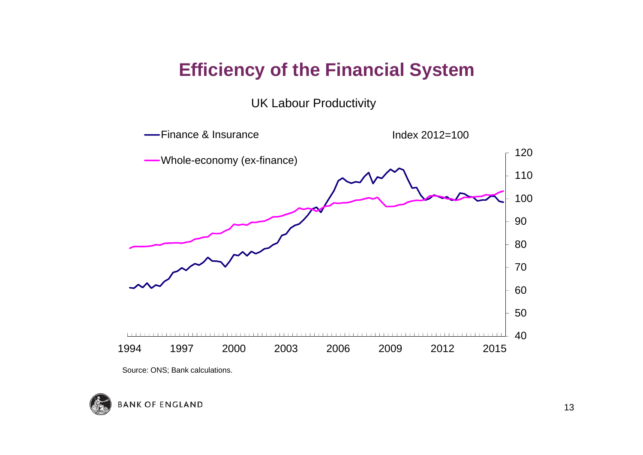#### **Efficiency of the Financial System**

UK Labour Productivity



Source: ONS; Bank calculations.

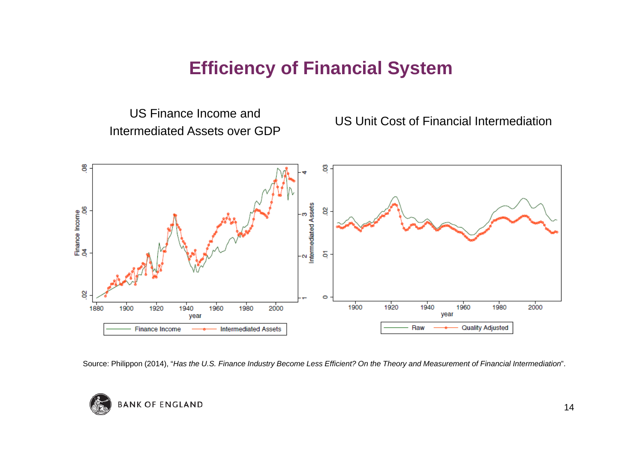#### **Efficiency of Financial System**

US Finance Income and Intermediated Assets over GDP

US Unit Cost of Financial Intermediation



Source: Philippon (2014), "*Has the U.S. Finance Industry Become Less Efficient? On the Theory and Measurement of Financial Intermediation*".

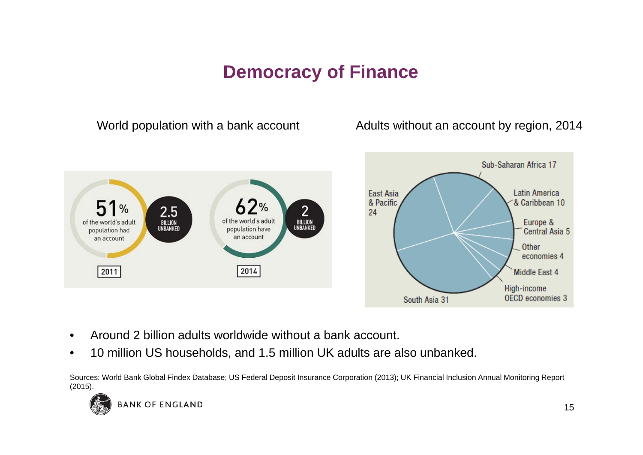#### **Democracy of Finance**

World population with a bank account **Adults without an account by region**, 2014



- •Around 2 billion adults worldwide without a bank account.
- •10 million US households, and 1.5 million UK adults are also unbanked.

Sources: World Bank Global Findex Database; US Federal Deposit Insurance Corporation (2013); UK Financial Inclusion Annual Monitoring Report (2015).

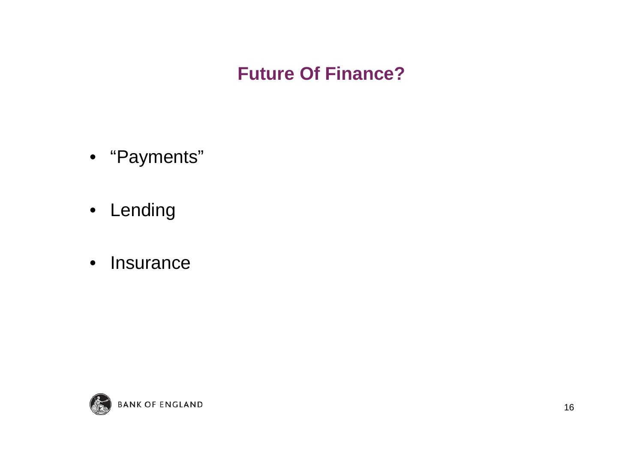#### **Future Of Finance?**

- "Payments"
- Lending
- $\bullet$ Insurance

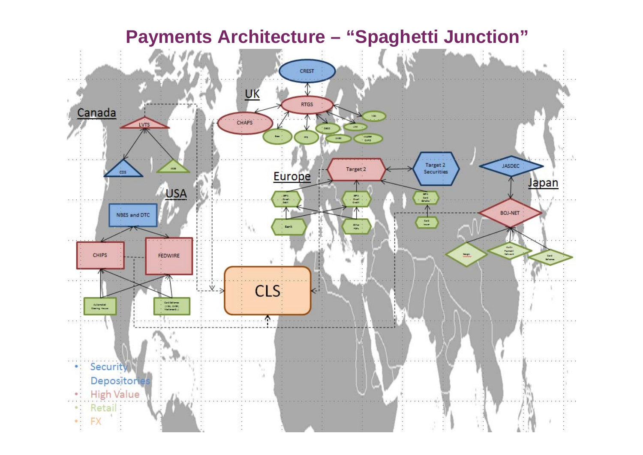#### **Payments Architecture – "Spaghetti Junction"** CREST  $UK$ </u> **RTGS** Canada CHAP'S LVTS  $\blacksquare$ **Colorado** JASDEC Target 2 Target<sub>2</sub>  $cos$ Europe Securities Japan USA  $rac{1}{2}$  $\begin{array}{c} 30\% \\ 20\% \\ 20\% \\ \end{array}$ 릂  $\overline{\wedge}$ BOJ-NET NBES and DTC  $\mathbb{Z}^2$ **Sank**  $\frac{1}{2}$ ಮ CHIPS FEDWIRE Card<br>Milena **CLS**  $\dot{v}$ Card Salaman<br>(VSS, 2008)<br>Malianandial **Subandal**<br>Claring Hause  $\wedge$ • Security ŪИ.  $\lambda$ Depositories **High Value** Retail:  $-$  FX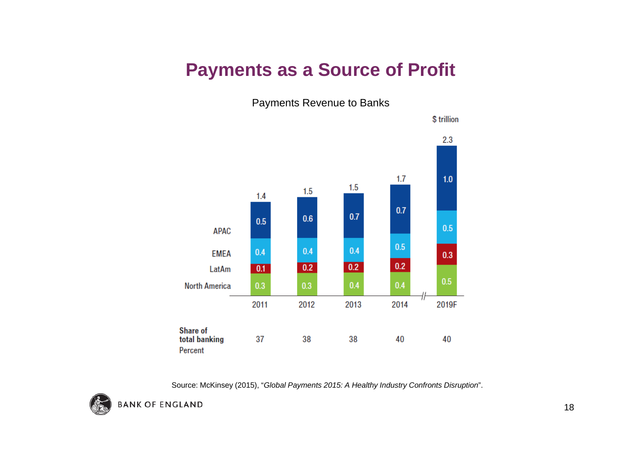#### **Payments as a Source of Profit**

Payments Revenue to Banks



Source: McKinsey (2015), "*Global Payments 2015: A Healthy Industry Confronts Disruption*".

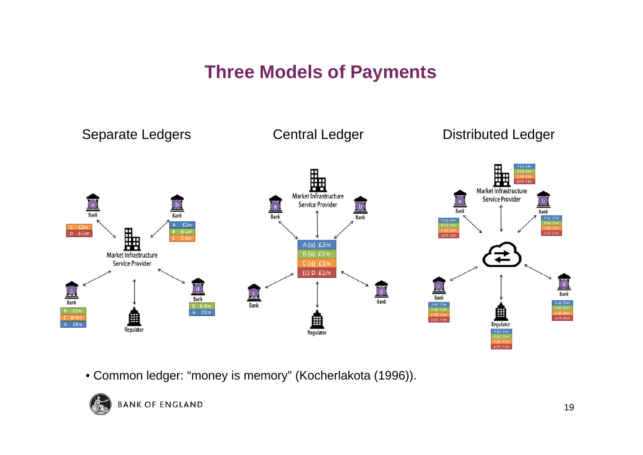## **Three Models of Payments**



• Common ledger: "money is memory" (Kocherlakota (1996)).

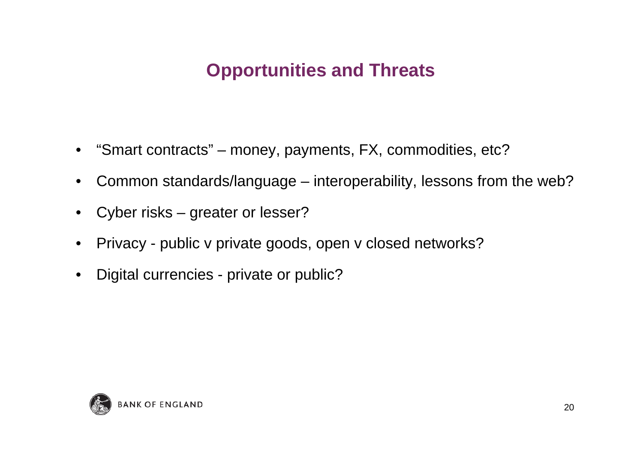# **Opportunities and Threats**

- "Smart contracts" money, payments, FX, commodities, etc?
- $\bullet$ Common standards/language – interoperability, lessons from the web?
- •Cyber risks – greater or lesser?
- $\bullet$ Privacy - public v private goods, open v closed networks?
- $\bullet$ Digital currencies - private or public?

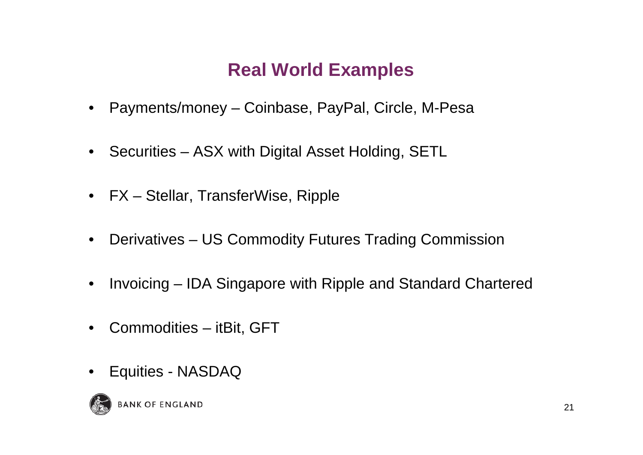# **Real World Examples**

- $\bullet$ Payments/money – Coinbase, PayPal, Circle, M-Pesa
- $\bullet$ Securities – ASX with Digital Asset Holding, SETL
- $\bullet$ FX – Stellar, TransferWise, Ripple
- $\bullet$ Derivatives – US Commodity Futures Trading Commission
- $\bullet$ Invoicing – IDA Singapore with Ripple and Standard Chartered
- $\bullet$ Commodities – itBit, GFT
- $\bullet$ Equities - NASDAQ

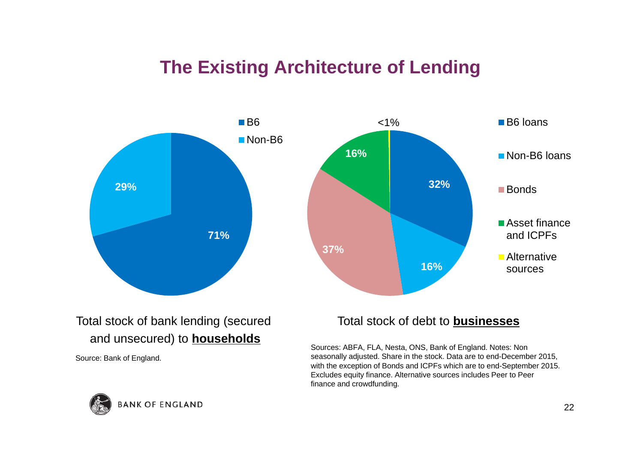#### **The Existing Architecture of Lending**



#### Total stock of bank lending (secured and unsecured) to **households**

Source: Bank of England.

#### Total stock of debt to **businesses**

Sources: ABFA, FLA, Nesta, ONS, Bank of England. Notes: Non seasonally adjusted. Share in the stock. Data are to end-December 2015, with the exception of Bonds and ICPFs which are to end-September 2015. Excludes equity finance. Alternative sources includes Peer to Peer finance and crowdfunding.

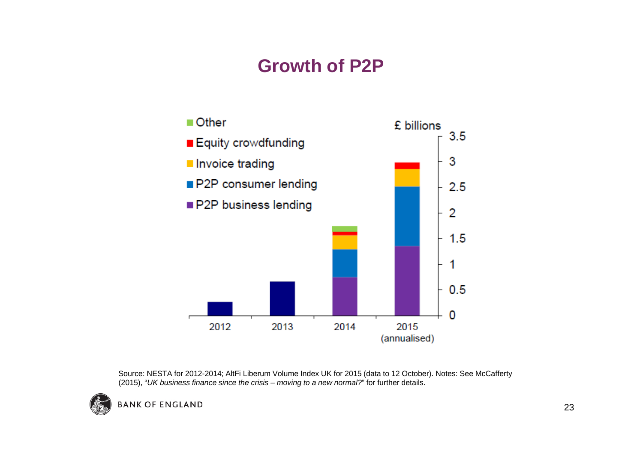## **Growth of P2P**



Source: NESTA for 2012-2014; AltFi Liberum Volume Index UK for 2015 (data to 12 October). Notes: See McCafferty (2015), "*UK business finance since the crisis – moving to a new normal?*" for further details.

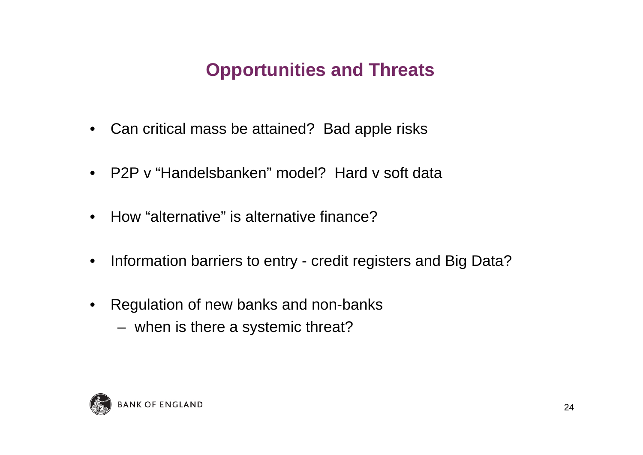# **Opportunities and Threats**

- $\bullet$ Can critical mass be attained? Bad apple risks
- P2P v "Handelsbanken" model? Hard v soft data
- $\bullet$ How "alternative" is alternative finance?
- •Information barriers to entry - credit registers and Big Data?
- $\bullet$  Regulation of new banks and non-banks
	- when is there a systemic threat?

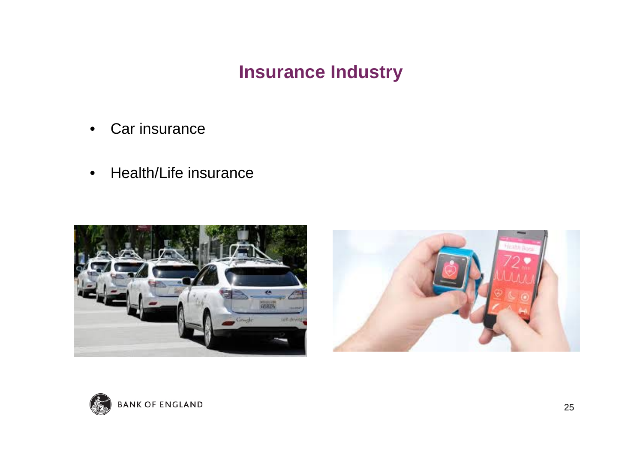#### **Insurance Industry**

- •Car insurance
- •Health/Life insurance





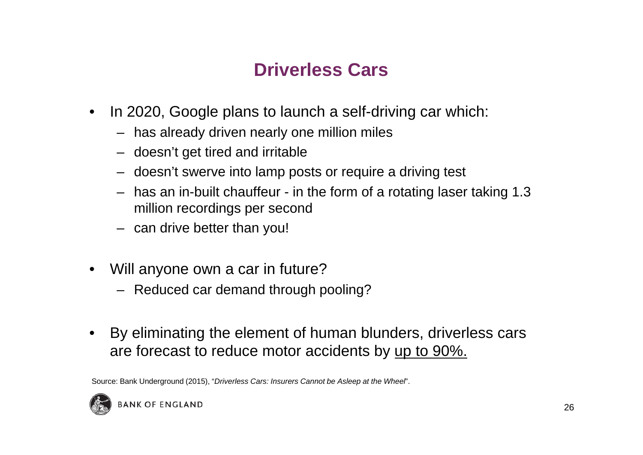# **Driverless Cars**

- • In 2020, Google plans to launch a self-driving car which:
	- has already driven nearly one million miles
	- doesn't get tired and irritable
	- doesn't swerve into lamp posts or require a driving test
	- has an in-built chauffeur in the form of a rotating laser taking 1.3 million recordings per second
	- can drive better than you!
- • Will anyone own a car in future?
	- Reduced car demand through pooling?
- • By eliminating the element of human blunders, driverless cars are forecast to reduce motor accidents by up to 90%.

Source: Bank Underground (2015), "*Driverless Cars: Insurers Cannot be Asleep at the Wheel*".

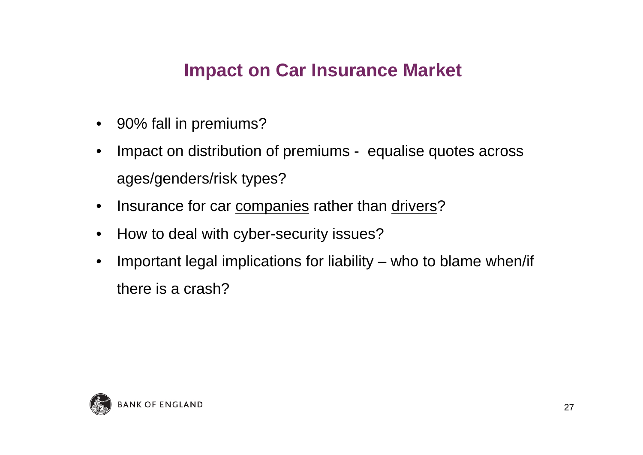## **Impact on Car Insurance Market**

- 90% fall in premiums?
- $\bullet$  Impact on distribution of premiums - equalise quotes across ages/genders/risk types?
- •Insurance for car companies rather than drivers?
- $\bullet$ How to deal with cyber-security issues?
- • Important legal implications for liability – who to blame when/if there is a crash?

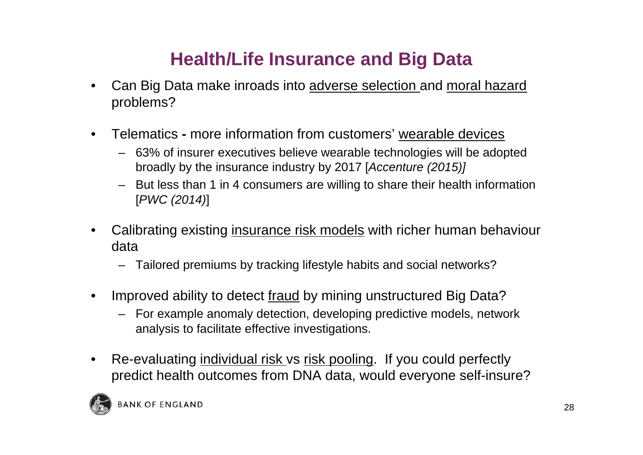# **Health/Life Insurance and Big Data**

- • Can Big Data make inroads into adverse selection and moral hazard problems?
- $\bullet$  Telematics **-** more information from customers' wearable devices
	- 63% of insurer executives believe wearable technologies will be adopted broadly by the insurance industry by 2017 [*Accenture (2015)]*
	- – But less than 1 in 4 consumers are willing to share their health information [*PWC (2014)*]
- • Calibrating existing insurance risk models with richer human behaviour data
	- Tailored premiums by tracking lifestyle habits and social networks?
- • Improved ability to detect fraud by mining unstructured Big Data?
	- For example anomaly detection, developing predictive models, network analysis to facilitate effective investigations.
- $\bullet$  Re-evaluating individual risk vs risk pooling. If you could perfectly predict health outcomes from DNA data, would everyone self-insure?